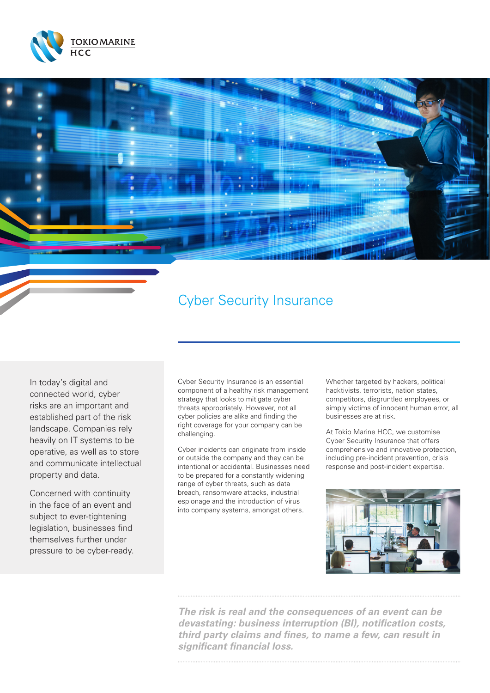



# Cyber Security Insurance

In today's digital and connected world, cyber risks are an important and established part of the risk landscape. Companies rely heavily on IT systems to be operative, as well as to store and communicate intellectual property and data.

Concerned with continuity in the face of an event and subject to ever-tightening legislation, businesses find themselves further under pressure to be cyber-ready.

Cyber Security Insurance is an essential component of a healthy risk management strategy that looks to mitigate cyber threats appropriately. However, not all cyber policies are alike and finding the right coverage for your company can be challenging.

Cyber incidents can originate from inside or outside the company and they can be intentional or accidental. Businesses need to be prepared for a constantly widening range of cyber threats, such as data breach, ransomware attacks, industrial espionage and the introduction of virus into company systems, amongst others.

Whether targeted by hackers, political hacktivists, terrorists, nation states, competitors, disgruntled employees, or simply victims of innocent human error, all businesses are at risk.

At Tokio Marine HCC, we customise Cyber Security Insurance that offers comprehensive and innovative protection, including pre-incident prevention, crisis response and post-incident expertise.



*The risk is real and the consequences of an event can be devastating: business interruption (BI), notification costs, third party claims and fines, to name a few, can result in significant financial loss.*